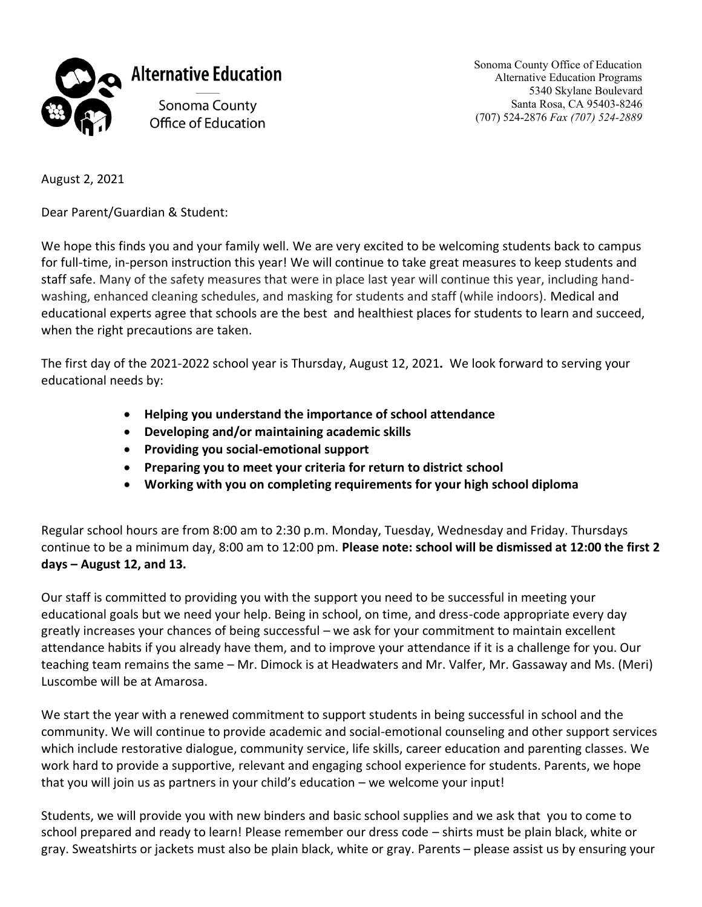

Sonoma County Office of Education Alternative Education Programs 5340 Skylane Boulevard Santa Rosa, CA 95403-8246 (707) 524-2876 *Fax (707) 524-2889*

August 2, 2021

Dear Parent/Guardian & Student:

We hope this finds you and your family well. We are very excited to be welcoming students back to campus for full-time, in-person instruction this year! We will continue to take great measures to keep students and staff safe. Many of the safety measures that were in place last year will continue this year, including handwashing, enhanced cleaning schedules, and masking for students and staff (while indoors). Medical and educational experts agree that schools are the best and healthiest places for students to learn and succeed, when the right precautions are taken.

The first day of the 2021-2022 school year is Thursday, August 12, 2021**.** We look forward to serving your educational needs by:

- **Helping you understand the importance of school attendance**
- **Developing and/or maintaining academic skills**
- **Providing you social-emotional support**
- **Preparing you to meet your criteria for return to district school**
- **Working with you on completing requirements for your high school diploma**

Regular school hours are from 8:00 am to 2:30 p.m. Monday, Tuesday, Wednesday and Friday. Thursdays continue to be a minimum day, 8:00 am to 12:00 pm. **Please note: school will be dismissed at 12:00 the first 2 days – August 12, and 13.** 

Our staff is committed to providing you with the support you need to be successful in meeting your educational goals but we need your help. Being in school, on time, and dress-code appropriate every day greatly increases your chances of being successful – we ask for your commitment to maintain excellent attendance habits if you already have them, and to improve your attendance if it is a challenge for you. Our teaching team remains the same – Mr. Dimock is at Headwaters and Mr. Valfer, Mr. Gassaway and Ms. (Meri) Luscombe will be at Amarosa.

We start the year with a renewed commitment to support students in being successful in school and the community. We will continue to provide academic and social-emotional counseling and other support services which include restorative dialogue, community service, life skills, career education and parenting classes. We work hard to provide a supportive, relevant and engaging school experience for students. Parents, we hope that you will join us as partners in your child's education – we welcome your input!

Students, we will provide you with new binders and basic school supplies and we ask that you to come to school prepared and ready to learn! Please remember our dress code – shirts must be plain black, white or gray. Sweatshirts or jackets must also be plain black, white or gray. Parents – please assist us by ensuring your